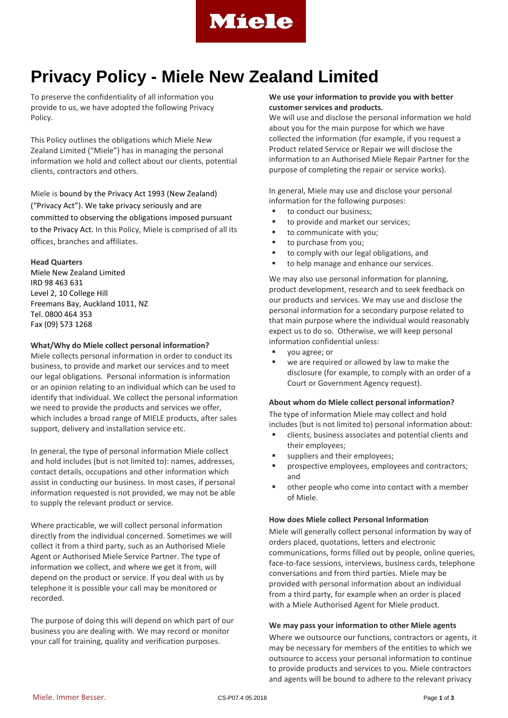

# **Privacy Policy - Miele New Zealand Limited**

To preserve the confidentiality of all information you provide to us, we have adopted the following Privacy Policy.

This Policy outlines the obligations which Miele New Zealand Limited ("Miele") has in managing the personal information we hold and collect about our clients, potential clients, contractors and others.

Miele is bound by the Privacy Act 1993 (New Zealand) ("Privacy Act"). We take privacy seriously and are committed to observing the obligations imposed pursuant to the Privacy Act. In this Policy, Miele is comprised of all its offices, branches and affiliates.

# **Head Quarters**

Miele New Zealand Limited IRD 98 463 631 Level 2, 10 College Hill Freemans Bay, Auckland 1011, NZ Tel. 0800 464 353 Fax (09) 573 1268

## **What/Why do Miele collect personal information?**

Miele collects personal information in order to conduct its business, to provide and market our services and to meet our legal obligations. Personal information is information or an opinion relating to an individual which can be used to identify that individual. We collect the personal information we need to provide the products and services we offer, which includes a broad range of MIELE products, after sales support, delivery and installation service etc.

In general, the type of personal information Miele collect and hold includes (but is not limited to): names, addresses, contact details, occupations and other information which assist in conducting our business. In most cases, if personal information requested is not provided, we may not be able to supply the relevant product or service.

Where practicable, we will collect personal information directly from the individual concerned. Sometimes we will collect it from a third party, such as an Authorised Miele Agent or Authorised Miele Service Partner. The type of information we collect, and where we get it from, will depend on the product or service. If you deal with us by telephone it is possible your call may be monitored or recorded.

The purpose of doing this will depend on which part of our business you are dealing with. We may record or monitor your call for training, quality and verification purposes.

# **We use your information to provide you with better customer services and products.**

We will use and disclose the personal information we hold about you for the main purpose for which we have collected the information (for example, if you request a Product related Service or Repair we will disclose the information to an Authorised Miele Repair Partner for the purpose of completing the repair or service works).

In general, Miele may use and disclose your personal information for the following purposes:

- to conduct our business;
- to provide and market our services;
- to communicate with you;
- to purchase from you;
- to comply with our legal obligations, and
- to help manage and enhance our services.

We may also use personal information for planning, product development, research and to seek feedback on our products and services. We may use and disclose the personal information for a secondary purpose related to that main purpose where the individual would reasonably expect us to do so. Otherwise, we will keep personal information confidential unless:

- you agree; or
- we are required or allowed by law to make the disclosure (for example, to comply with an order of a Court or Government Agency request).

#### **About whom do Miele collect personal information?**

The type of information Miele may collect and hold includes (but is not limited to) personal information about:

- clients, business associates and potential clients and their employees;
- suppliers and their employees;
- **PEDIETE:** prospective employees, employees and contractors; and
- other people who come into contact with a member of Miele.

#### **How does Miele collect Personal Information**

Miele will generally collect personal information by way of orders placed, quotations, letters and electronic communications, forms filled out by people, online queries, face-to-face sessions, interviews, business cards, telephone conversations and from third parties. Miele may be provided with personal information about an individual from a third party, for example when an order is placed with a Miele Authorised Agent for Miele product.

#### **We may pass your information to other Miele agents**

Where we outsource our functions, contractors or agents, it may be necessary for members of the entities to which we outsource to access your personal information to continue to provide products and services to you. Miele contractors and agents will be bound to adhere to the relevant privacy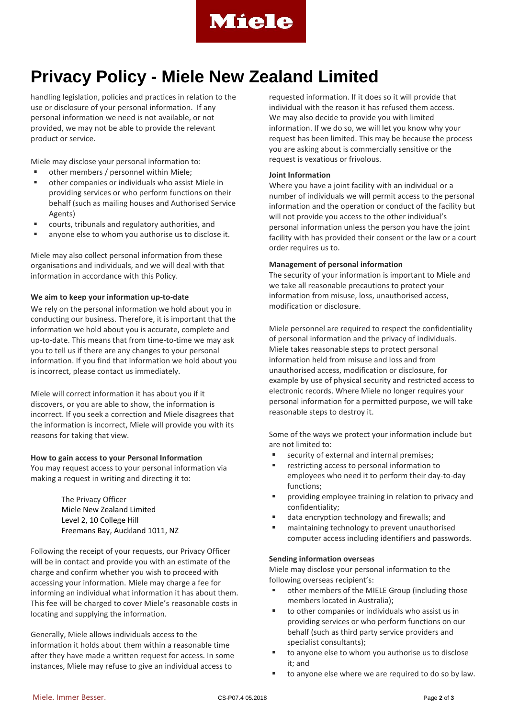

# **Privacy Policy - Miele New Zealand Limited**

handling legislation, policies and practices in relation to the use or disclosure of your personal information. If any personal information we need is not available, or not provided, we may not be able to provide the relevant product or service.

Miele may disclose your personal information to:

- other members / personnel within Miele;
- other companies or individuals who assist Miele in providing services or who perform functions on their behalf (such as mailing houses and Authorised Service Agents)
- courts, tribunals and regulatory authorities, and
- anyone else to whom you authorise us to disclose it.

Miele may also collect personal information from these organisations and individuals, and we will deal with that information in accordance with this Policy.

## **We aim to keep your information up-to-date**

We rely on the personal information we hold about you in conducting our business. Therefore, it is important that the information we hold about you is accurate, complete and up-to-date. This means that from time-to-time we may ask you to tell us if there are any changes to your personal information. If you find that information we hold about you is incorrect, please contact us immediately.

Miele will correct information it has about you if it discovers, or you are able to show, the information is incorrect. If you seek a correction and Miele disagrees that the information is incorrect, Miele will provide you with its reasons for taking that view.

#### **How to gain access to your Personal Information**

You may request access to your personal information via making a request in writing and directing it to:

> The Privacy Officer Miele New Zealand Limited Level 2, 10 College Hill Freemans Bay, Auckland 1011, NZ

Following the receipt of your requests, our Privacy Officer will be in contact and provide you with an estimate of the charge and confirm whether you wish to proceed with accessing your information. Miele may charge a fee for informing an individual what information it has about them. This fee will be charged to cover Miele's reasonable costs in locating and supplying the information.

Generally, Miele allows individuals access to the information it holds about them within a reasonable time after they have made a written request for access. In some instances, Miele may refuse to give an individual access to

requested information. If it does so it will provide that individual with the reason it has refused them access. We may also decide to provide you with limited information. If we do so, we will let you know why your request has been limited. This may be because the process you are asking about is commercially sensitive or the request is vexatious or frivolous.

## **Joint Information**

Where you have a joint facility with an individual or a number of individuals we will permit access to the personal information and the operation or conduct of the facility but will not provide you access to the other individual's personal information unless the person you have the joint facility with has provided their consent or the law or a court order requires us to.

#### **Management of personal information**

The security of your information is important to Miele and we take all reasonable precautions to protect your information from misuse, loss, unauthorised access, modification or disclosure.

Miele personnel are required to respect the confidentiality of personal information and the privacy of individuals. Miele takes reasonable steps to protect personal information held from misuse and loss and from unauthorised access, modification or disclosure, for example by use of physical security and restricted access to electronic records. Where Miele no longer requires your personal information for a permitted purpose, we will take reasonable steps to destroy it.

Some of the ways we protect your information include but are not limited to:

- security of external and internal premises;
- restricting access to personal information to employees who need it to perform their day-to-day functions;
- **Phonology Employee training in relation to privacy and** confidentiality;
- data encryption technology and firewalls; and
- maintaining technology to prevent unauthorised computer access including identifiers and passwords.

#### **Sending information overseas**

Miele may disclose your personal information to the following overseas recipient's:

- other members of the MIELE Group (including those members located in Australia);
- to other companies or individuals who assist us in providing services or who perform functions on our behalf (such as third party service providers and specialist consultants);
- to anyone else to whom you authorise us to disclose it; and
- to anyone else where we are required to do so by law.